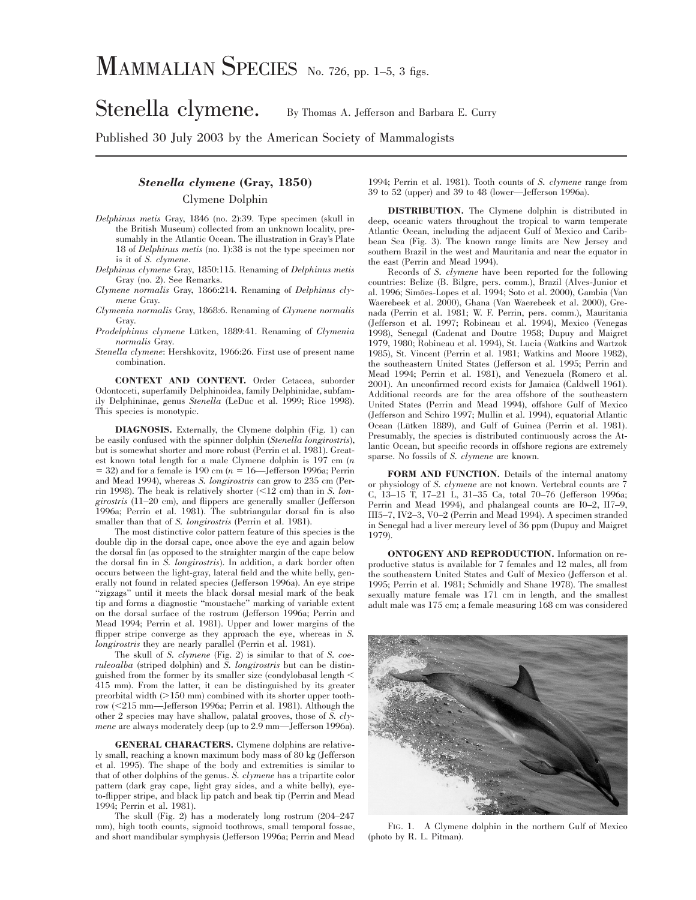## Stenella clymene. By Thomas A. Jefferson and Barbara E. Curry

Published 30 July 2003 by the American Society of Mammalogists

## *Stenella clymene* **(Gray, 1850)** Clymene Dolphin

- *Delphinus metis* Gray, 1846 (no. 2):39. Type specimen (skull in the British Museum) collected from an unknown locality, presumably in the Atlantic Ocean. The illustration in Gray's Plate 18 of *Delphinus metis* (no. 1):38 is not the type specimen nor is it of *S. clymene*.
- *Delphinus clymene* Gray, 1850:115. Renaming of *Delphinus metis* Gray (no. 2). See Remarks.
- *Clymene normalis* Gray, 1866:214. Renaming of *Delphinus clymene* Gray.
- *Clymenia normalis* Gray, 1868:6. Renaming of *Clymene normalis* Gray.
- *Prodelphinus clymene* Lütken, 1889:41. Renaming of *Clymenia normalis* Gray.
- *Stenella clymene*: Hershkovitz, 1966:26. First use of present name combination.

**CONTEXT AND CONTENT.** Order Cetacea, suborder Odontoceti, superfamily Delphinoidea, family Delphinidae, subfamily Delphininae, genus *Stenella* (LeDuc et al. 1999; Rice 1998). This species is monotypic.

**DIAGNOSIS.** Externally, the Clymene dolphin (Fig. 1) can be easily confused with the spinner dolphin (*Stenella longirostris*), but is somewhat shorter and more robust (Perrin et al. 1981). Greatest known total length for a male Clymene dolphin is 197 cm (*n*  $=$  32) and for a female is 190 cm ( $n = 16$ —Jefferson 1996a; Perrin and Mead 1994), whereas *S. longirostris* can grow to 235 cm (Perrin 1998). The beak is relatively shorter  $(\leq 12 \text{ cm})$  than in *S. longirostris* (11–20 cm), and flippers are generally smaller (Jefferson 1996a; Perrin et al. 1981). The subtriangular dorsal fin is also smaller than that of *S. longirostris* (Perrin et al. 1981).

The most distinctive color pattern feature of this species is the double dip in the dorsal cape, once above the eye and again below the dorsal fin (as opposed to the straighter margin of the cape below the dorsal fin in *S. longirostris*). In addition, a dark border often occurs between the light-gray, lateral field and the white belly, generally not found in related species (Jefferson 1996a). An eye stripe "zigzags" until it meets the black dorsal mesial mark of the beak tip and forms a diagnostic ''moustache'' marking of variable extent on the dorsal surface of the rostrum (Jefferson 1996a; Perrin and Mead 1994; Perrin et al. 1981). Upper and lower margins of the flipper stripe converge as they approach the eye, whereas in *S. longirostris* they are nearly parallel (Perrin et al. 1981).

The skull of *S. clymene* (Fig. 2) is similar to that of *S. coeruleoalba* (striped dolphin) and *S. longirostris* but can be distinguished from the former by its smaller size (condylobasal length  $\leq$ 415 mm). From the latter, it can be distinguished by its greater preorbital width  $(>150 \text{ mm})$  combined with its shorter upper tooth $r_{row}$  ( $\leq$ 215 mm—Jefferson 1996a; Perrin et al. 1981). Although the other 2 species may have shallow, palatal grooves, those of *S. clymene* are always moderately deep (up to 2.9 mm—Jefferson 1996a).

**GENERAL CHARACTERS.** Clymene dolphins are relatively small, reaching a known maximum body mass of 80 kg (Jefferson et al. 1995). The shape of the body and extremities is similar to that of other dolphins of the genus. *S. clymene* has a tripartite color pattern (dark gray cape, light gray sides, and a white belly), eyeto-flipper stripe, and black lip patch and beak tip (Perrin and Mead 1994; Perrin et al. 1981).

The skull (Fig. 2) has a moderately long rostrum (204–247 mm), high tooth counts, sigmoid toothrows, small temporal fossae, and short mandibular symphysis (Jefferson 1996a; Perrin and Mead 1994; Perrin et al. 1981). Tooth counts of *S. clymene* range from 39 to 52 (upper) and 39 to 48 (lower—Jefferson 1996a).

**DISTRIBUTION.** The Clymene dolphin is distributed in deep, oceanic waters throughout the tropical to warm temperate Atlantic Ocean, including the adjacent Gulf of Mexico and Caribbean Sea (Fig. 3). The known range limits are New Jersey and southern Brazil in the west and Mauritania and near the equator in the east (Perrin and Mead 1994).

Records of *S. clymene* have been reported for the following countries: Belize (B. Bilgre, pers. comm.), Brazil (Alves-Junior et al. 1996; Simões-Lopes et al. 1994; Soto et al. 2000), Gambia (Van Waerebeek et al. 2000), Ghana (Van Waerebeek et al. 2000), Grenada (Perrin et al. 1981; W. F. Perrin, pers. comm.), Mauritania (Jefferson et al. 1997; Robineau et al. 1994), Mexico (Venegas 1998), Senegal (Cadenat and Doutre 1958; Dupuy and Maigret 1979, 1980; Robineau et al. 1994), St. Lucia (Watkins and Wartzok 1985), St. Vincent (Perrin et al. 1981; Watkins and Moore 1982), the southeastern United States (Jefferson et al. 1995; Perrin and Mead 1994; Perrin et al. 1981), and Venezuela (Romero et al. 2001). An unconfirmed record exists for Jamaica (Caldwell 1961). Additional records are for the area offshore of the southeastern United States (Perrin and Mead 1994), offshore Gulf of Mexico (Jefferson and Schiro 1997; Mullin et al. 1994), equatorial Atlantic Ocean (Lütken 1889), and Gulf of Guinea (Perrin et al. 1981). Presumably, the species is distributed continuously across the Atlantic Ocean, but specific records in offshore regions are extremely sparse. No fossils of *S. clymene* are known.

**FORM AND FUNCTION.** Details of the internal anatomy or physiology of *S. clymene* are not known. Vertebral counts are 7 C, 13–15 T, 17–21 L, 31–35 Ca, total 70–76 (Jefferson 1996a; Perrin and Mead 1994), and phalangeal counts are I0–2, II7–9, III5–7, IV2–3, V0–2 (Perrin and Mead 1994). A specimen stranded in Senegal had a liver mercury level of 36 ppm (Dupuy and Maigret 1979).

**ONTOGENY AND REPRODUCTION.** Information on reproductive status is available for 7 females and 12 males, all from the southeastern United States and Gulf of Mexico (Jefferson et al. 1995; Perrin et al. 1981; Schmidly and Shane 1978). The smallest sexually mature female was 171 cm in length, and the smallest adult male was 175 cm; a female measuring 168 cm was considered



FIG. 1. A Clymene dolphin in the northern Gulf of Mexico (photo by R. L. Pitman).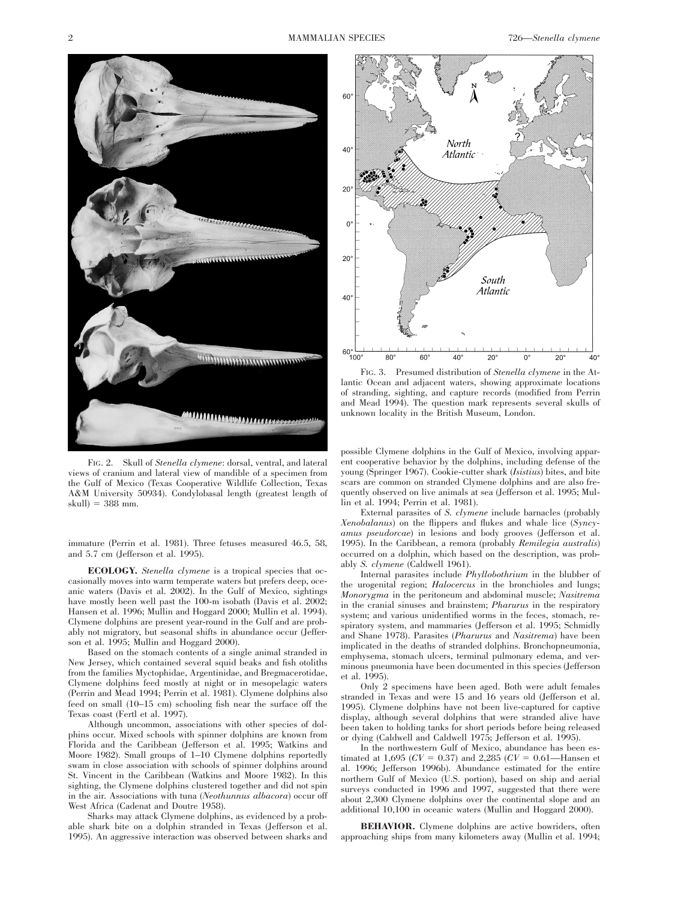

FIG. 2. Skull of *Stenella clymene*: dorsal, ventral, and lateral views of cranium and lateral view of mandible of a specimen from the Gulf of Mexico (Texas Cooperative Wildlife Collection, Texas A&M University 50934). Condylobasal length (greatest length of  $skull$ ) = 388 mm.

immature (Perrin et al. 1981). Three fetuses measured 46.5, 58, and 5.7 cm (Jefferson et al. 1995).

**ECOLOGY.** *Stenella clymene* is a tropical species that occasionally moves into warm temperate waters but prefers deep, oceanic waters (Davis et al. 2002). In the Gulf of Mexico, sightings have mostly been well past the 100-m isobath (Davis et al. 2002; Hansen et al. 1996; Mullin and Hoggard 2000; Mullin et al. 1994). Clymene dolphins are present year-round in the Gulf and are probably not migratory, but seasonal shifts in abundance occur (Jefferson et al. 1995; Mullin and Hoggard 2000).

Based on the stomach contents of a single animal stranded in New Jersey, which contained several squid beaks and fish otoliths from the families Myctophidae, Argentinidae, and Bregmacerotidae, Clymene dolphins feed mostly at night or in mesopelagic waters (Perrin and Mead 1994; Perrin et al. 1981). Clymene dolphins also feed on small (10–15 cm) schooling fish near the surface off the Texas coast (Fertl et al. 1997).

Although uncommon, associations with other species of dolphins occur. Mixed schools with spinner dolphins are known from Florida and the Caribbean (Jefferson et al. 1995; Watkins and Moore 1982). Small groups of 1–10 Clymene dolphins reportedly swam in close association with schools of spinner dolphins around St. Vincent in the Caribbean (Watkins and Moore 1982). In this sighting, the Clymene dolphins clustered together and did not spin in the air. Associations with tuna (*Neothunnus albacora*) occur off West Africa (Cadenat and Doutre 1958).

Sharks may attack Clymene dolphins, as evidenced by a probable shark bite on a dolphin stranded in Texas (Jefferson et al. 1995). An aggressive interaction was observed between sharks and



FIG. 3. Presumed distribution of *Stenella clymene* in the Atlantic Ocean and adjacent waters, showing approximate locations of stranding, sighting, and capture records (modified from Perrin and Mead 1994). The question mark represents several skulls of unknown locality in the British Museum, London.

possible Clymene dolphins in the Gulf of Mexico, involving apparent cooperative behavior by the dolphins, including defense of the young (Springer 1967). Cookie-cutter shark (*Isistius*) bites, and bite scars are common on stranded Clymene dolphins and are also frequently observed on live animals at sea (Jefferson et al. 1995; Mullin et al. 1994; Perrin et al. 1981).

External parasites of *S. clymene* include barnacles (probably *Xenobalanus*) on the flippers and flukes and whale lice (*Syncyamus pseudorcae*) in lesions and body grooves (Jefferson et al. 1995). In the Caribbean, a remora (probably *Remilegia australis*) occurred on a dolphin, which based on the description, was probably *S. clymene* (Caldwell 1961).

Internal parasites include *Phyllobothrium* in the blubber of the urogenital region; *Halocercus* in the bronchioles and lungs; *Monorygma* in the peritoneum and abdominal muscle; *Nasitrema* in the cranial sinuses and brainstem; *Pharurus* in the respiratory system; and various unidentified worms in the feces, stomach, respiratory system, and mammaries (Jefferson et al. 1995; Schmidly and Shane 1978). Parasites (*Pharurus* and *Nasitrema*) have been implicated in the deaths of stranded dolphins. Bronchopneumonia, emphysema, stomach ulcers, terminal pulmonary edema, and verminous pneumonia have been documented in this species (Jefferson et al. 1995).

Only 2 specimens have been aged. Both were adult females stranded in Texas and were 15 and 16 years old (Jefferson et al. 1995). Clymene dolphins have not been live-captured for captive display, although several dolphins that were stranded alive have been taken to holding tanks for short periods before being released or dying (Caldwell and Caldwell 1975; Jefferson et al. 1995).

In the northwestern Gulf of Mexico, abundance has been estimated at 1,695 ( $CV = 0.37$ ) and 2,285 ( $CV = 0.61$ —Hansen et al. 1996; Jefferson 1996b). Abundance estimated for the entire northern Gulf of Mexico (U.S. portion), based on ship and aerial surveys conducted in 1996 and 1997, suggested that there were about 2,300 Clymene dolphins over the continental slope and an additional 10,100 in oceanic waters (Mullin and Hoggard 2000).

**BEHAVIOR.** Clymene dolphins are active bowriders, often approaching ships from many kilometers away (Mullin et al. 1994;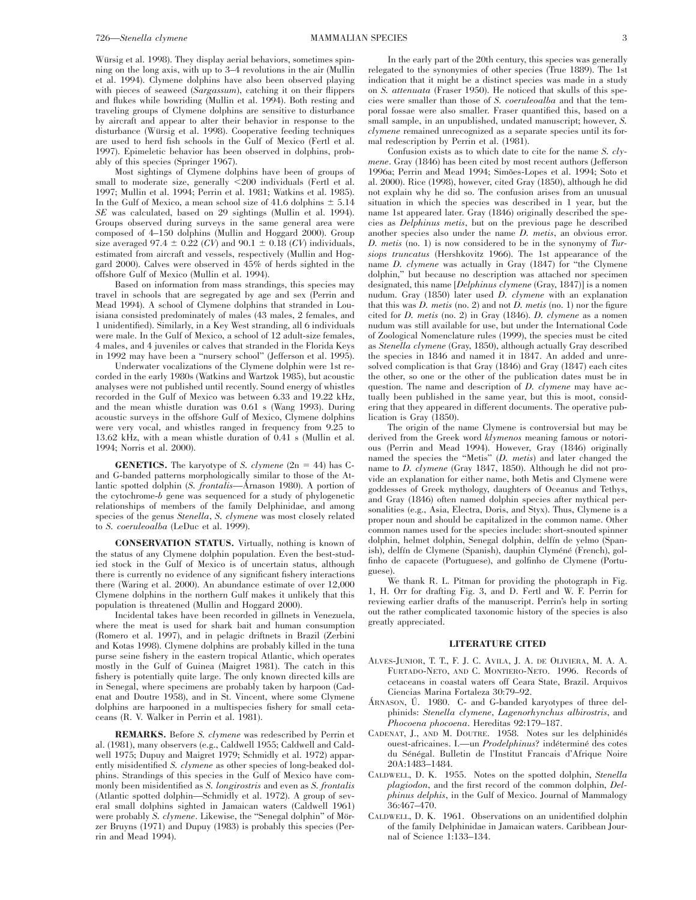Würsig et al. 1998). They display aerial behaviors, sometimes spinning on the long axis, with up to 3–4 revolutions in the air (Mullin et al. 1994). Clymene dolphins have also been observed playing with pieces of seaweed (*Sargassum*), catching it on their flippers and flukes while bowriding (Mullin et al. 1994). Both resting and traveling groups of Clymene dolphins are sensitive to disturbance by aircraft and appear to alter their behavior in response to the disturbance (Würsig et al. 1998). Cooperative feeding techniques are used to herd fish schools in the Gulf of Mexico (Fertl et al. 1997). Epimeletic behavior has been observed in dolphins, probably of this species (Springer 1967).

Most sightings of Clymene dolphins have been of groups of small to moderate size, generally <200 individuals (Fertl et al. 1997; Mullin et al. 1994; Perrin et al. 1981; Watkins et al. 1985). In the Gulf of Mexico, a mean school size of 41.6 dolphins  $\pm$  5.14 *SE* was calculated, based on 29 sightings (Mullin et al. 1994). Groups observed during surveys in the same general area were composed of 4–150 dolphins (Mullin and Hoggard 2000). Group size averaged 97.4  $\pm$  0.22 (*CV*) and 90.1  $\pm$  0.18 (*CV*) individuals, estimated from aircraft and vessels, respectively (Mullin and Hoggard 2000). Calves were observed in 45% of herds sighted in the offshore Gulf of Mexico (Mullin et al. 1994).

Based on information from mass strandings, this species may travel in schools that are segregated by age and sex (Perrin and Mead 1994). A school of Clymene dolphins that stranded in Louisiana consisted predominately of males (43 males, 2 females, and 1 unidentified). Similarly, in a Key West stranding, all 6 individuals were male. In the Gulf of Mexico, a school of 12 adult-size females, 4 males, and 4 juveniles or calves that stranded in the Florida Keys in 1992 may have been a ''nursery school'' (Jefferson et al. 1995).

Underwater vocalizations of the Clymene dolphin were 1st recorded in the early 1980s (Watkins and Wartzok 1985), but acoustic analyses were not published until recently. Sound energy of whistles recorded in the Gulf of Mexico was between 6.33 and 19.22 kHz, and the mean whistle duration was 0.61 s (Wang 1993). During acoustic surveys in the offshore Gulf of Mexico, Clymene dolphins were very vocal, and whistles ranged in frequency from 9.25 to 13.62 kHz, with a mean whistle duration of 0.41 s (Mullin et al. 1994; Norris et al. 2000).

**GENETICS.** The karyotype of *S. clymene*  $(2n = 44)$  has Cand G-banded patterns morphologically similar to those of the Atlantic spotted dolphin (*S. frontalis*—A<sup>rnason</sup> 1980). A portion of the cytochrome-*b* gene was sequenced for a study of phylogenetic relationships of members of the family Delphinidae, and among species of the genus *Stenella*, *S. clymene* was most closely related to *S. coeruleoalba* (LeDuc et al. 1999).

**CONSERVATION STATUS.** Virtually, nothing is known of the status of any Clymene dolphin population. Even the best-studied stock in the Gulf of Mexico is of uncertain status, although there is currently no evidence of any significant fishery interactions there (Waring et al. 2000). An abundance estimate of over 12,000 Clymene dolphins in the northern Gulf makes it unlikely that this population is threatened (Mullin and Hoggard 2000).

Incidental takes have been recorded in gillnets in Venezuela, where the meat is used for shark bait and human consumption (Romero et al. 1997), and in pelagic driftnets in Brazil (Zerbini and Kotas 1998). Clymene dolphins are probably killed in the tuna purse seine fishery in the eastern tropical Atlantic, which operates mostly in the Gulf of Guinea (Maigret 1981). The catch in this fishery is potentially quite large. The only known directed kills are in Senegal, where specimens are probably taken by harpoon (Cadenat and Doutre 1958), and in St. Vincent, where some Clymene dolphins are harpooned in a multispecies fishery for small cetaceans (R. V. Walker in Perrin et al. 1981).

**REMARKS.** Before *S. clymene* was redescribed by Perrin et al. (1981), many observers (e.g., Caldwell 1955; Caldwell and Caldwell 1975; Dupuy and Maigret 1979; Schmidly et al. 1972) apparently misidentified *S. clymene* as other species of long-beaked dolphins. Strandings of this species in the Gulf of Mexico have commonly been misidentified as *S. longirostris* and even as *S. frontalis* (Atlantic spotted dolphin—Schmidly et al. 1972). A group of several small dolphins sighted in Jamaican waters (Caldwell 1961) were probably *S. clymene*. Likewise, the "Senegal dolphin" of Mörzer Bruyns (1971) and Dupuy (1983) is probably this species (Perrin and Mead 1994).

In the early part of the 20th century, this species was generally relegated to the synonymies of other species (True 1889). The 1st indication that it might be a distinct species was made in a study on *S. attenuata* (Fraser 1950). He noticed that skulls of this species were smaller than those of *S. coeruleoalba* and that the temporal fossae were also smaller. Fraser quantified this, based on a small sample, in an unpublished, undated manuscript; however, *S. clymene* remained unrecognized as a separate species until its formal redescription by Perrin et al. (1981).

Confusion exists as to which date to cite for the name *S. clymene*. Gray (1846) has been cited by most recent authors (Jefferson 1996a: Perrin and Mead 1994; Simões-Lopes et al. 1994; Soto et al. 2000). Rice (1998), however, cited Gray (1850), although he did not explain why he did so. The confusion arises from an unusual situation in which the species was described in 1 year, but the name 1st appeared later. Gray (1846) originally described the species as *Delphinus metis*, but on the previous page he described another species also under the name *D. metis*, an obvious error. *D. metis* (no. 1) is now considered to be in the synonymy of *Tursiops truncatus* (Hershkovitz 1966). The 1st appearance of the name *D. clymene* was actually in Gray (1847) for ''the Clymene dolphin,'' but because no description was attached nor specimen designated, this name [*Delphinus clymene* (Gray, 1847)] is a nomen nudum. Gray (1850) later used *D. clymene* with an explanation that this was *D. metis* (no. 2) and not *D. metis* (no. 1) nor the figure cited for *D. metis* (no. 2) in Gray (1846). *D. clymene* as a nomen nudum was still available for use, but under the International Code of Zoological Nomenclature rules (1999), the species must be cited as *Stenella clymene* (Gray, 1850), although actually Gray described the species in 1846 and named it in 1847. An added and unresolved complication is that Gray (1846) and Gray (1847) each cites the other, so one or the other of the publication dates must be in question. The name and description of *D. clymene* may have actually been published in the same year, but this is moot, considering that they appeared in different documents. The operative publication is Gray (1850).

The origin of the name Clymene is controversial but may be derived from the Greek word *klymenos* meaning famous or notorious (Perrin and Mead 1994). However, Gray (1846) originally named the species the ''Metis'' (*D. metis*) and later changed the name to *D. clymene* (Gray 1847, 1850). Although he did not provide an explanation for either name, both Metis and Clymene were goddesses of Greek mythology, daughters of Oceanus and Tethys, and Gray (1846) often named dolphin species after mythical personalities (e.g., Asia, Electra, Doris, and Styx). Thus, Clymene is a proper noun and should be capitalized in the common name. Other common names used for the species include: short-snouted spinner dolphin, helmet dolphin, Senegal dolphin, delfín de yelmo (Spanish), delfín de Clymene (Spanish), dauphin Clyméné (French), golfinho de capacete (Portuguese), and golfinho de Clymene (Portuguese).

We thank R. L. Pitman for providing the photograph in Fig. 1, H. Orr for drafting Fig. 3, and D. Fertl and W. F. Perrin for reviewing earlier drafts of the manuscript. Perrin's help in sorting out the rather complicated taxonomic history of the species is also greatly appreciated.

## **LITERATURE CITED**

- ALVES-JUNIOR, T. T., F. J. C. AVILA, J. A. DE OLIVIERA, M. A. A. FURTADO-NETO, AND C. MONTIERO-NETO. 1996. Records of cetaceans in coastal waters off Ceara State, Brazil. Arquivos Ciencias Marina Fortaleza 30:79–92.
- ÁRNASON, Ú. 1980. C- and G-banded karyotypes of three delphinids: *Stenella clymene*, *Lagenorhynchus albirostris*, and *Phocoena phocoena*. Hereditas 92:179–187.
- CADENAT, J., AND M. DOUTRE. 1958. Notes sur les delphinidés ouest-africaines. I.—un *Prodelphinus*? indéterminé des cotes du Sénégal. Bulletin de l'Institut Francais d'Afrique Noire 20A:1483–1484.
- CALDWELL, D. K. 1955. Notes on the spotted dolphin, *Stenella plagiodon*, and the first record of the common dolphin, *Delphinus delphis*, in the Gulf of Mexico. Journal of Mammalogy 36:467–470.
- CALDWELL, D. K. 1961. Observations on an unidentified dolphin of the family Delphinidae in Jamaican waters. Caribbean Journal of Science 1:133–134.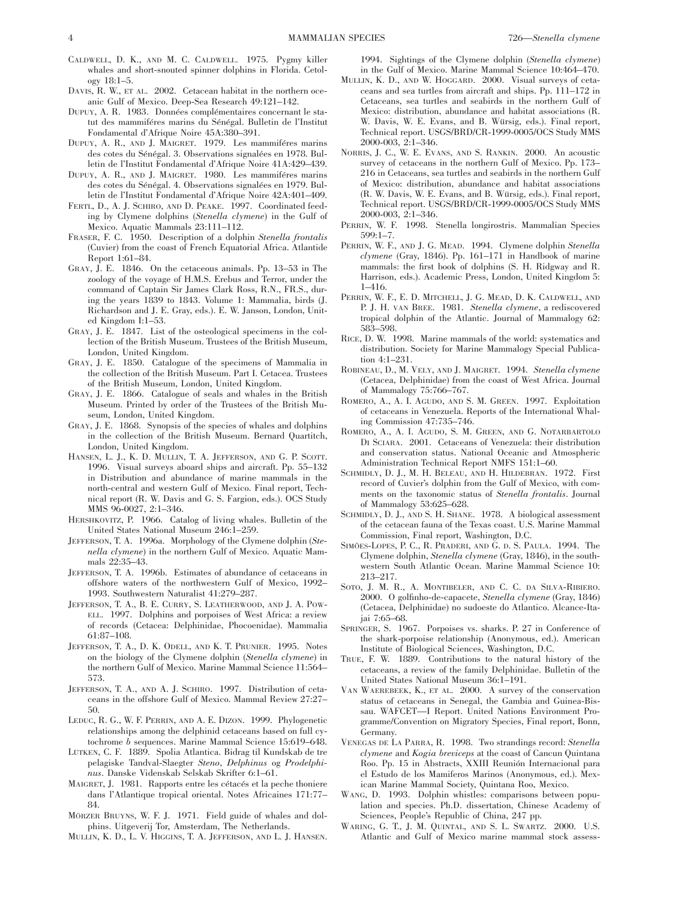- CALDWELL, D. K., AND M. C. CALDWELL. 1975. Pygmy killer whales and short-snouted spinner dolphins in Florida. Cetology 18:1–5.
- DAVIS, R. W., ET AL. 2002. Cetacean habitat in the northern oceanic Gulf of Mexico. Deep-Sea Research 49:121–142.
- DUPUY, A. R. 1983. Données complémentaires concernant le statut des mammiféres marins du Sénégal. Bulletin de l'Institut Fondamental d'Afrique Noire 45A:380–391.
- DUPUY, A. R., AND J. MAIGRET. 1979. Les mammiféres marins des cotes du Sénégal. 3. Observations signalées en 1978. Bulletin de l'Institut Fondamental d'Afrique Noire 41A:429–439.
- DUPUY, A. R., AND J. MAIGRET. 1980. Les mammiféres marins des cotes du Sénégal. 4. Observations signalées en 1979. Bulletin de l'Institut Fondamental d'Afrique Noire 42A:401–409.
- FERTL, D., A. J. SCHIRO, AND D. PEAKE. 1997. Coordinated feeding by Clymene dolphins (*Stenella clymene*) in the Gulf of Mexico. Aquatic Mammals 23:111–112.
- FRASER, F. C. 1950. Description of a dolphin *Stenella frontalis* (Cuvier) from the coast of French Equatorial Africa. Atlantide Report 1:61–84.
- GRAY, J. E. 1846. On the cetaceous animals. Pp. 13–53 in The zoology of the voyage of H.M.S. Erebus and Terror, under the command of Captain Sir James Clark Ross, R.N., FR.S., during the years 1839 to 1843. Volume 1: Mammalia, birds (J. Richardson and J. E. Gray, eds.). E. W. Janson, London, United Kingdom I:1–53.
- GRAY, J. E. 1847. List of the osteological specimens in the collection of the British Museum. Trustees of the British Museum, London, United Kingdom.
- GRAY, J. E. 1850. Catalogue of the specimens of Mammalia in the collection of the British Museum. Part I. Cetacea. Trustees of the British Museum, London, United Kingdom.
- GRAY, J. E. 1866. Catalogue of seals and whales in the British Museum. Printed by order of the Trustees of the British Museum, London, United Kingdom.
- GRAY, J. E. 1868. Synopsis of the species of whales and dolphins in the collection of the British Museum. Bernard Quartitch, London, United Kingdom.
- HANSEN, L. J., K. D. MULLIN, T. A. JEFFERSON, AND G. P. SCOTT. 1996. Visual surveys aboard ships and aircraft. Pp. 55–132 in Distribution and abundance of marine mammals in the north-central and western Gulf of Mexico. Final report, Technical report (R. W. Davis and G. S. Fargion, eds.). OCS Study MMS 96-0027, 2:1–346.
- HERSHKOVITZ, P. 1966. Catalog of living whales. Bulletin of the United States National Museum 246:1–259.
- JEFFERSON, T. A. 1996a. Morphology of the Clymene dolphin (*Stenella clymene*) in the northern Gulf of Mexico. Aquatic Mammals 22:35–43.
- JEFFERSON, T. A. 1996b. Estimates of abundance of cetaceans in offshore waters of the northwestern Gulf of Mexico, 1992– 1993. Southwestern Naturalist 41:279–287.
- JEFFERSON, T. A., B. E. CURRY, S. LEATHERWOOD, AND J. A. POW-ELL. 1997. Dolphins and porpoises of West Africa: a review of records (Cetacea: Delphinidae, Phocoenidae). Mammalia 61:87–108.
- JEFFERSON, T. A., D. K. ODELL, AND K. T. PRUNIER. 1995. Notes on the biology of the Clymene dolphin (*Stenella clymene*) in the northern Gulf of Mexico. Marine Mammal Science 11:564– 573.
- JEFFERSON, T. A., AND A. J. SCHIRO. 1997. Distribution of cetaceans in the offshore Gulf of Mexico. Mammal Review 27:27– 50.
- LEDUC, R. G., W. F. PERRIN, AND A. E. DIZON. 1999. Phylogenetic relationships among the delphinid cetaceans based on full cytochrome *b* sequences. Marine Mammal Science 15:619–648.
- LUTKEN, C. F. 1889. Spolia Atlantica. Bidrag til Kundskab de tre pelagiske Tandval-Slaegter *Steno*, *Delphinus* og *Prodelphinus*. Danske Videnskab Selskab Skrifter 6:1–61.
- MAIGRET, J. 1981. Rapports entre les cétacés et la peche thoniere dans l'Atlantique tropical oriental. Notes Africaines 171:77– 84.
- MÖRZER BRUYNS, W. F. J. 1971. Field guide of whales and dolphins. Uitgeverij Tor, Amsterdam, The Netherlands.
- MULLIN, K. D., L. V. HIGGINS, T. A. JEFFERSON, AND L. J. HANSEN.

1994. Sightings of the Clymene dolphin (*Stenella clymene*) in the Gulf of Mexico. Marine Mammal Science 10:464–470.

- MULLIN, K. D., AND W. HOGGARD. 2000. Visual surveys of cetaceans and sea turtles from aircraft and ships. Pp. 111–172 in Cetaceans, sea turtles and seabirds in the northern Gulf of Mexico: distribution, abundance and habitat associations (R. W. Davis, W. E. Evans, and B. Würsig, eds.). Final report, Technical report. USGS/BRD/CR-1999-0005/OCS Study MMS 2000-003, 2:1–346.
- NORRIS, J. C., W. E. EVANS, AND S. RANKIN. 2000. An acoustic survey of cetaceans in the northern Gulf of Mexico. Pp. 173– 216 in Cetaceans, sea turtles and seabirds in the northern Gulf of Mexico: distribution, abundance and habitat associations (R. W. Davis, W. E. Evans, and B. Würsig, eds.). Final report, Technical report. USGS/BRD/CR-1999-0005/OCS Study MMS 2000-003, 2:1–346.
- PERRIN, W. F. 1998. Stenella longirostris. Mammalian Species 599:1–7.
- PERRIN, W. F., AND J. G. MEAD. 1994. Clymene dolphin *Stenella clymene* (Gray, 1846). Pp. 161–171 in Handbook of marine mammals: the first book of dolphins (S. H. Ridgway and R. Harrison, eds.). Academic Press, London, United Kingdom 5: 1–416.
- PERRIN, W. F., E. D. MITCHELL, J. G. MEAD, D. K. CALDWELL, AND P. J. H. VAN BREE. 1981. *Stenella clymene*, a rediscovered tropical dolphin of the Atlantic. Journal of Mammalogy 62: 583–598.
- RICE, D. W. 1998. Marine mammals of the world: systematics and distribution. Society for Marine Mammalogy Special Publication 4:1–231.
- ROBINEAU, D., M. VELY, AND J. MAIGRET. 1994. *Stenella clymene* (Cetacea, Delphinidae) from the coast of West Africa. Journal of Mammalogy 75:766–767.
- ROMERO, A., A. I. AGUDO, AND S. M. GREEN. 1997. Exploitation of cetaceans in Venezuela. Reports of the International Whaling Commission 47:735–746.
- ROMERO, A., A. I. AGUDO, S. M. GREEN, AND G. NOTARBARTOLO DI SCIARA. 2001. Cetaceans of Venezuela: their distribution and conservation status. National Oceanic and Atmospheric Administration Technical Report NMFS 151:1–60.
- SCHMIDLY, D. J., M. H. BELEAU, AND H. HILDEBRAN. 1972. First record of Cuvier's dolphin from the Gulf of Mexico, with comments on the taxonomic status of *Stenella frontalis*. Journal of Mammalogy 53:625–628.
- SCHMIDLY, D. J., AND S. H. SHANE. 1978. A biological assessment of the cetacean fauna of the Texas coast. U.S. Marine Mammal Commission, Final report, Washington, D.C.
- SIMOES-LOPES, P. C., R. PRADERI, AND G. D. S. PAULA. 1994. The Clymene dolphin, *Stenella clymene* (Gray, 1846), in the southwestern South Atlantic Ocean. Marine Mammal Science 10: 213–217.
- SOTO, J. M. R., A. MONTIBELER, AND C. C. DA SILVA-RIBIERO. 2000. O golfinho-de-capacete, *Stenella clymene* (Gray, 1846) (Cetacea, Delphinidae) no sudoeste do Atlantico. Alcance-Itajai 7:65–68.
- SPRINGER, S. 1967. Porpoises vs. sharks. P. 27 in Conference of the shark-porpoise relationship (Anonymous, ed.). American Institute of Biological Sciences, Washington, D.C.
- TRUE, F. W. 1889. Contributions to the natural history of the cetaceans, a review of the family Delphinidae. Bulletin of the United States National Museum 36:1–191.
- VAN WAEREBEEK, K., ET AL. 2000. A survey of the conservation status of cetaceans in Senegal, the Gambia and Guinea-Bissau. WAFCET—I Report. United Nations Environment Programme/Convention on Migratory Species, Final report, Bonn, Germany.
- VENEGAS DE LA PARRA, R. 1998. Two strandings record: *Stenella clymene* and *Kogia breviceps* at the coast of Cancun Quintana Roo. Pp. 15 in Abstracts, XXIII Reunión Internacional para el Estudo de los Mamiferos Marinos (Anonymous, ed.). Mexican Marine Mammal Society, Quintana Roo, Mexico.
- WANG, D. 1993. Dolphin whistles: comparisons between population and species. Ph.D. dissertation, Chinese Academy of Sciences, People's Republic of China, 247 pp.
- WARING, G. T., J. M. QUINTAL, AND S. L. SWARTZ. 2000. U.S. Atlantic and Gulf of Mexico marine mammal stock assess-